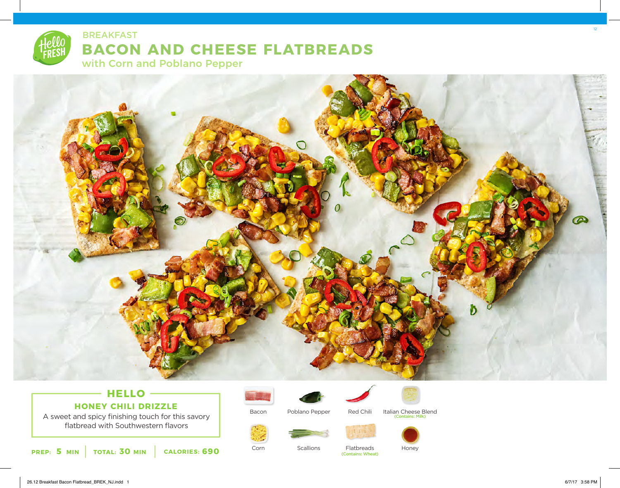# **BACON AND CHEESE FLATBREADS** BREAKFAST

with Corn and Poblano Pepper



## **HELLO HONEY CHILI DRIZZLE**

A sweet and spicy finishing touch for this savory flatbread with Southwestern flavors





Bacon

Corn



Poblano Pepper



Italian Cheese Blend<br>Contains: Milk)



Scallions



Flatbreads (Contains: Wheat)

Red Chili



Honey



12